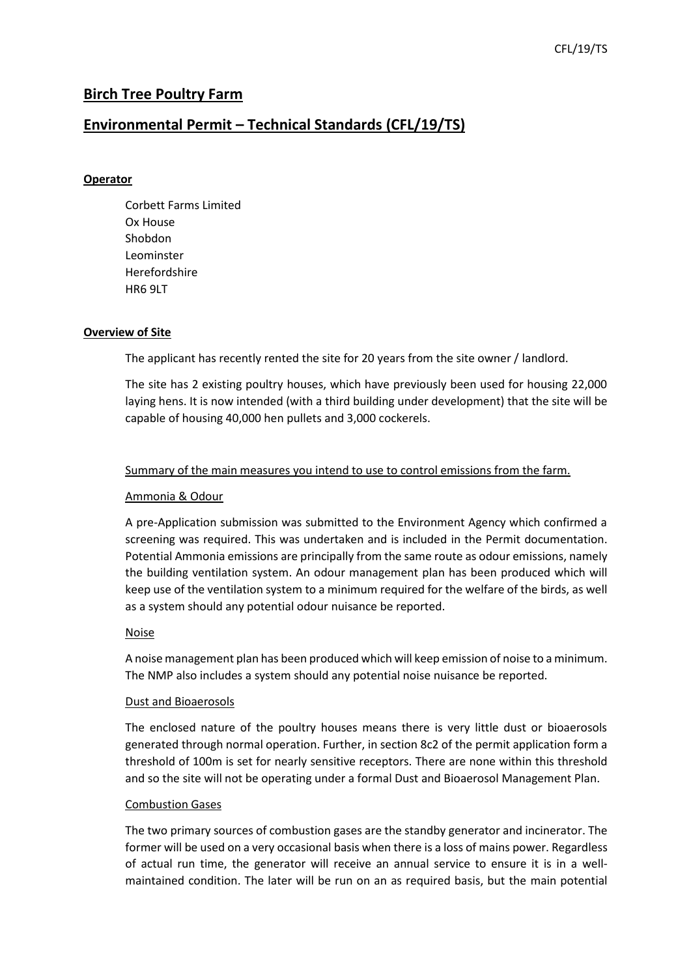# **Birch Tree Poultry Farm**

## **Environmental Permit – Technical Standards (CFL/19/TS)**

## **Operator**

Corbett Farms Limited Ox House Shobdon Leominster Herefordshire HR6 9LT

### **Overview of Site**

The applicant has recently rented the site for 20 years from the site owner / landlord.

The site has 2 existing poultry houses, which have previously been used for housing 22,000 laying hens. It is now intended (with a third building under development) that the site will be capable of housing 40,000 hen pullets and 3,000 cockerels.

### Summary of the main measures you intend to use to control emissions from the farm.

### Ammonia & Odour

A pre-Application submission was submitted to the Environment Agency which confirmed a screening was required. This was undertaken and is included in the Permit documentation. Potential Ammonia emissions are principally from the same route as odour emissions, namely the building ventilation system. An odour management plan has been produced which will keep use of the ventilation system to a minimum required for the welfare of the birds, as well as a system should any potential odour nuisance be reported.

### **Noise**

A noise management plan has been produced which will keep emission of noise to a minimum. The NMP also includes a system should any potential noise nuisance be reported.

#### Dust and Bioaerosols

The enclosed nature of the poultry houses means there is very little dust or bioaerosols generated through normal operation. Further, in section 8c2 of the permit application form a threshold of 100m is set for nearly sensitive receptors. There are none within this threshold and so the site will not be operating under a formal Dust and Bioaerosol Management Plan.

#### Combustion Gases

The two primary sources of combustion gases are the standby generator and incinerator. The former will be used on a very occasional basis when there is a loss of mains power. Regardless of actual run time, the generator will receive an annual service to ensure it is in a wellmaintained condition. The later will be run on an as required basis, but the main potential